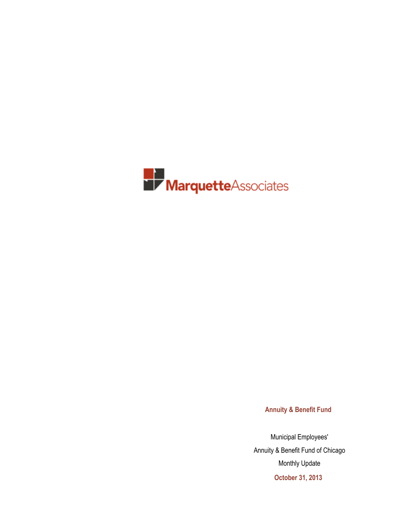

**Annuity & Benefit Fund**

Municipal Employees' Annuity & Benefit Fund of Chicago Monthly Update **October 31, 2013**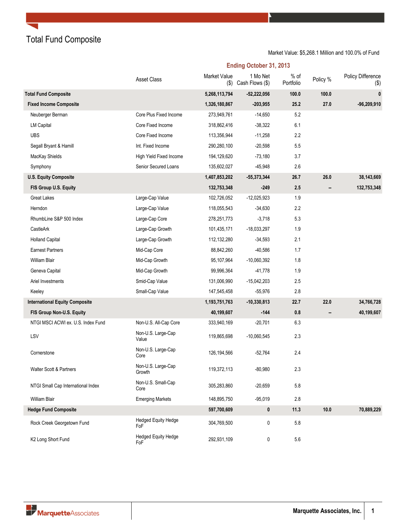Total Fund Composite

| <b>Ending October 31, 2013</b> |  |  |
|--------------------------------|--|--|
|--------------------------------|--|--|

|                                       | <b>Asset Class</b>                | Market Value<br>$($ \$) | 1 Mo Net<br>Cash Flows (\$) | $%$ of<br>Portfolio | Policy % | Policy Difference<br>$(\$)$ |
|---------------------------------------|-----------------------------------|-------------------------|-----------------------------|---------------------|----------|-----------------------------|
| <b>Total Fund Composite</b>           |                                   | 5,268,113,794           | $-52,222,056$               | 100.0               | 100.0    | $\bf{0}$                    |
| <b>Fixed Income Composite</b>         |                                   | 1,326,180,867           | $-203,955$                  | 25.2                | 27.0     | $-96,209,910$               |
| Neuberger Berman                      | Core Plus Fixed Income            | 273,949,761             | $-14,650$                   | 5.2                 |          |                             |
| <b>LM Capital</b>                     | Core Fixed Income                 | 318,862,416             | $-38,322$                   | 6.1                 |          |                             |
| <b>UBS</b>                            | Core Fixed Income                 | 113,356,944             | $-11,258$                   | 2.2                 |          |                             |
| Segall Bryant & Hamill                | Int. Fixed Income                 | 290,280,100             | $-20,598$                   | 5.5                 |          |                             |
| MacKay Shields                        | High Yield Fixed Income           | 194,129,620             | $-73,180$                   | 3.7                 |          |                             |
| Symphony                              | Senior Secured Loans              | 135,602,027             | $-45,948$                   | 2.6                 |          |                             |
| <b>U.S. Equity Composite</b>          |                                   | 1,407,853,202           | $-55,373,344$               | 26.7                | 26.0     | 38,143,669                  |
| FIS Group U.S. Equity                 |                                   | 132,753,348             | $-249$                      | 2.5                 |          | 132,753,348                 |
| Great Lakes                           | Large-Cap Value                   | 102,726,052             | $-12,025,923$               | 1.9                 |          |                             |
| Herndon                               | Large-Cap Value                   | 118,055,543             | $-34,630$                   | 2.2                 |          |                             |
| RhumbLine S&P 500 Index               | Large-Cap Core                    | 278,251,773             | $-3,718$                    | 5.3                 |          |                             |
| CastleArk                             | Large-Cap Growth                  | 101,435,171             | $-18,033,297$               | 1.9                 |          |                             |
| <b>Holland Capital</b>                | Large-Cap Growth                  | 112,132,280             | $-34,593$                   | 2.1                 |          |                             |
| <b>Earnest Partners</b>               | Mid-Cap Core                      | 88,842,260              | $-40,586$                   | 1.7                 |          |                             |
| William Blair                         | Mid-Cap Growth                    | 95,107,964              | $-10,060,392$               | 1.8                 |          |                             |
| Geneva Capital                        | Mid-Cap Growth                    | 99,996,364              | $-41,778$                   | 1.9                 |          |                             |
| Ariel Investments                     | Smid-Cap Value                    | 131,006,990             | $-15,042,203$               | 2.5                 |          |                             |
| Keeley                                | Small-Cap Value                   | 147,545,458             | $-55,976$                   | 2.8                 |          |                             |
| <b>International Equity Composite</b> |                                   | 1,193,751,763           | $-10,330,813$               | 22.7                | 22.0     | 34,766,728                  |
| FIS Group Non-U.S. Equity             |                                   | 40,199,607              | $-144$                      | $0.8\,$             |          | 40,199,607                  |
| NTGI MSCI ACWI ex. U.S. Index Fund    | Non-U.S. All-Cap Core             | 333,940,169             | $-20,701$                   | 6.3                 |          |                             |
| LSV                                   | Non-U.S. Large-Cap<br>Value       | 119,865,698             | $-10,060,545$               | 2.3                 |          |                             |
| Cornerstone                           | Non-U.S. Large-Cap<br>Core        | 126,194,566             | $-52,764$                   | 2.4                 |          |                             |
| Walter Scott & Partners               | Non-U.S. Large-Cap<br>Growth      | 119,372,113             | $-80,980$                   | 2.3                 |          |                             |
| NTGI Small Cap International Index    | Non-U.S. Small-Cap<br>Core        | 305,283,860             | $-20,659$                   | 5.8                 |          |                             |
| William Blair                         | <b>Emerging Markets</b>           | 148,895,750             | $-95,019$                   | $2.8\,$             |          |                             |
| <b>Hedge Fund Composite</b>           |                                   | 597,700,609             | 0                           | 11.3                | 10.0     | 70,889,229                  |
| Rock Creek Georgetown Fund            | <b>Hedged Equity Hedge</b><br>FoF | 304,769,500             | 0                           | $5.8\,$             |          |                             |
| K2 Long Short Fund                    | <b>Hedged Equity Hedge</b><br>FoF | 292,931,109             | 0                           | 5.6                 |          |                             |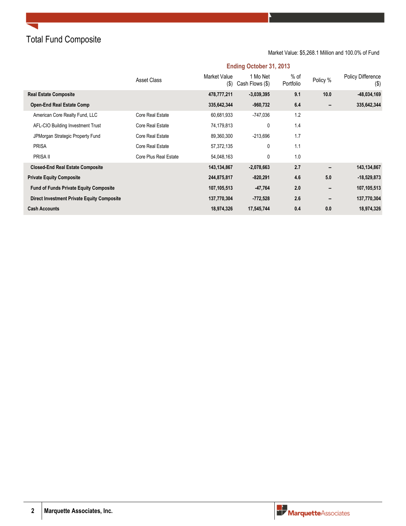# Total Fund Composite

### Market Value: \$5,268.1 Million and 100.0% of Fund

|                                                   | Asset Class           | Market Value<br>$($ \$) | 1 Mo Net<br>Cash Flows (\$) | % of<br>Portfolio | Policy % | <b>Policy Difference</b><br>$($ \$) |
|---------------------------------------------------|-----------------------|-------------------------|-----------------------------|-------------------|----------|-------------------------------------|
| <b>Real Estate Composite</b>                      |                       | 478,777,211             | $-3,039,395$                | 9.1               | 10.0     | $-48,034,169$                       |
| <b>Open-End Real Estate Comp</b>                  |                       | 335,642,344             | $-960,732$                  | 6.4               | $\sim$   | 335,642,344                         |
| American Core Realty Fund, LLC                    | Core Real Estate      | 60,681,933              | -747,036                    | 1.2               |          |                                     |
| AFL-CIO Building Investment Trust                 | Core Real Estate      | 74,179,813              | 0                           | 1.4               |          |                                     |
| JPMorgan Strategic Property Fund                  | Core Real Estate      | 89,360,300              | $-213,696$                  | 1.7               |          |                                     |
| <b>PRISA</b>                                      | Core Real Estate      | 57,372,135              | 0                           | 1.1               |          |                                     |
| PRISA II                                          | Core Plus Real Estate | 54,048,163              | 0                           | 1.0               |          |                                     |
| <b>Closed-End Real Estate Composite</b>           |                       | 143,134,867             | $-2,078,663$                | 2.7               | ۰.       | 143,134,867                         |
| <b>Private Equity Composite</b>                   |                       | 244,875,817             | $-820,291$                  | 4.6               | 5.0      | $-18,529,873$                       |
| <b>Fund of Funds Private Equity Composite</b>     |                       | 107,105,513             | $-47,764$                   | 2.0               |          | 107,105,513                         |
| <b>Direct Investment Private Equity Composite</b> |                       | 137,770,304             | $-772,528$                  | 2.6               |          | 137,770,304                         |
| <b>Cash Accounts</b>                              |                       | 18,974,326              | 17,545,744                  | 0.4               | 0.0      | 18,974,326                          |

### **Ending October 31, 2013**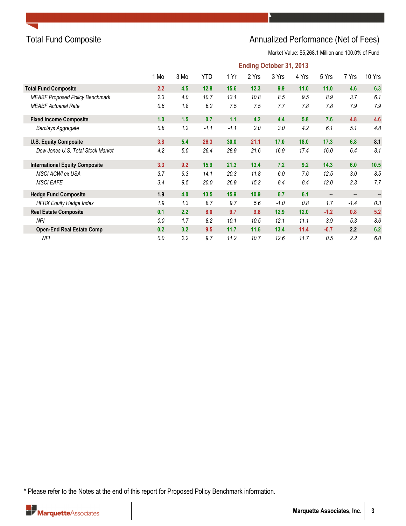

# Total Fund Composite **Annualized Performance (Net of Fees)** Annualized Performance (Net of Fees)

Market Value: \$5,268.1 Million and 100.0% of Fund

|                                        |      |      |            |        | <b>Ending October 31, 2013</b> |        |       |        |        |        |
|----------------------------------------|------|------|------------|--------|--------------------------------|--------|-------|--------|--------|--------|
|                                        | 1 Mo | 3 Mo | <b>YTD</b> | 1 Yr   | 2 Yrs                          | 3 Yrs  | 4 Yrs | 5 Yrs  | 7 Yrs  | 10 Yrs |
| <b>Total Fund Composite</b>            | 2.2  | 4.5  | 12.8       | 15.6   | 12.3                           | 9.9    | 11.0  | $11.0$ | 4.6    | 6.3    |
| <b>MEABF Proposed Policy Benchmark</b> | 2.3  | 4.0  | 10.7       | 13.1   | 10.8                           | 8.5    | 9.5   | 8.9    | 3.7    | 6.1    |
| <b>MEABF Actuarial Rate</b>            | 0.6  | 1.8  | 6.2        | 7.5    | 7.5                            | 7.7    | 7.8   | 7.8    | 7.9    | 7.9    |
| <b>Fixed Income Composite</b>          | 1.0  | 1.5  | 0.7        | 1.1    | 4.2                            | 4.4    | 5.8   | 7.6    | 4.8    | 4.6    |
| <b>Barclays Aggregate</b>              | 0.8  | 1.2  | $-1.1$     | $-1.1$ | 2.0                            | 3.0    | 4.2   | 6.1    | 5.1    | 4.8    |
| <b>U.S. Equity Composite</b>           | 3.8  | 5.4  | 26.3       | 30.0   | 21.1                           | 17.0   | 18.0  | 17.3   | 6.8    | 8.1    |
| Dow Jones U.S. Total Stock Market      | 4.2  | 5.0  | 26.4       | 28.9   | 21.6                           | 16.9   | 17.4  | 16.0   | 6.4    | 8.1    |
| <b>International Equity Composite</b>  | 3.3  | 9.2  | 15.9       | 21.3   | 13.4                           | 7.2    | 9.2   | 14.3   | 6.0    | 10.5   |
| <b>MSCI ACWI ex USA</b>                | 3.7  | 9.3  | 14.1       | 20.3   | 11.8                           | 6.0    | 7.6   | 12.5   | 3.0    | 8.5    |
| <b>MSCI EAFE</b>                       | 3.4  | 9.5  | 20.0       | 26.9   | 15.2                           | 8.4    | 8.4   | 12.0   | 2.3    | 7.7    |
| <b>Hedge Fund Composite</b>            | 1.9  | 4.0  | 13.5       | 15.9   | 10.9                           | 6.7    | 6.1   |        | $\sim$ |        |
| <b>HFRX Equity Hedge Index</b>         | 1.9  | 1.3  | 8.7        | 9.7    | 5.6                            | $-1.0$ | 0.8   | 1.7    | $-1.4$ | 0.3    |
| <b>Real Estate Composite</b>           | 0.1  | 2.2  | 8.0        | 9.7    | 9.8                            | 12.9   | 12.0  | $-1.2$ | 0.8    | 5.2    |
| <b>NPI</b>                             | 0.0  | 1.7  | 8.2        | 10.1   | 10.5                           | 12.1   | 11.1  | 3.9    | 5.3    | 8.6    |
| <b>Open-End Real Estate Comp</b>       | 0.2  | 3.2  | 9.5        | 11.7   | 11.6                           | 13.4   | 11.4  | $-0.7$ | 2.2    | 6.2    |
| <b>NFI</b>                             | 0.0  | 2.2  | 9.7        | 11.2   | 10.7                           | 12.6   | 11.7  | 0.5    | 2.2    | 6.0    |

\* Please refer to the Notes at the end of this report for Proposed Policy Benchmark information.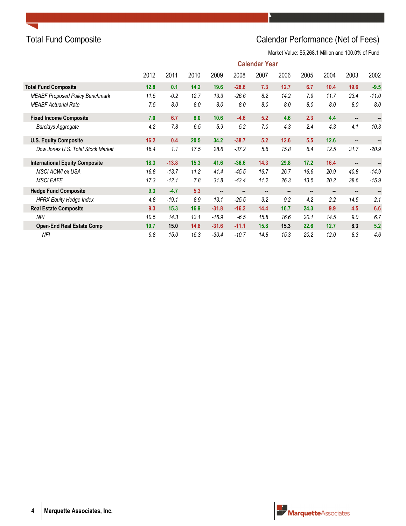# Total Fund Composite **Calendar Performance (Net of Fees)**

|                                        |      |         |      |         |         | <b>Calendar Year</b> |                |      |                |      |         |
|----------------------------------------|------|---------|------|---------|---------|----------------------|----------------|------|----------------|------|---------|
|                                        | 2012 | 2011    | 2010 | 2009    | 2008    | 2007                 | 2006           | 2005 | 2004           | 2003 | 2002    |
| <b>Total Fund Composite</b>            | 12.8 | 0.1     | 14.2 | 19.6    | $-28.6$ | 7.3                  | 12.7           | 6.7  | 10.4           | 19.6 | $-9.5$  |
| <b>MEABF Proposed Policy Benchmark</b> | 11.5 | $-0.2$  | 12.7 | 13.3    | $-26.6$ | 8.2                  | 14.2           | 7.9  | 11.7           | 23.4 | $-11.0$ |
| <b>MEABF Actuarial Rate</b>            | 7.5  | 8.0     | 8.0  | 8.0     | 8.0     | 8.0                  | 8.0            | 8.0  | 8.0            | 8.0  | 8.0     |
| <b>Fixed Income Composite</b>          | 7.0  | 6.7     | 8.0  | 10.6    | $-4.6$  | 5.2                  | 4.6            | 2.3  | 4.4            |      |         |
| <b>Barclays Aggregate</b>              | 4.2  | 7.8     | 6.5  | 5.9     | 5.2     | 7.0                  | 4.3            | 2.4  | 4.3            | 4.1  | 10.3    |
| <b>U.S. Equity Composite</b>           | 16.2 | 0.4     | 20.5 | 34.2    | $-38.7$ | 5.2                  | 12.6           | 5.5  | 12.6           |      | ۰.      |
| Dow Jones U.S. Total Stock Market      | 16.4 | 1.1     | 17.5 | 28.6    | $-37.2$ | 5.6                  | 15.8           | 6.4  | 12.5           | 31.7 | $-20.9$ |
| <b>International Equity Composite</b>  | 18.3 | $-13.8$ | 15.3 | 41.6    | $-36.6$ | 14.3                 | 29.8           | 17.2 | 16.4           | ۰.   | --      |
| <b>MSCI ACWI ex USA</b>                | 16.8 | $-13.7$ | 11.2 | 41.4    | $-45.5$ | 16.7                 | 26.7           | 16.6 | 20.9           | 40.8 | $-14.9$ |
| <b>MSCI EAFE</b>                       | 17.3 | $-12.1$ | 7.8  | 31.8    | $-43.4$ | 11.2                 | 26.3           | 13.5 | 20.2           | 38.6 | $-15.9$ |
| <b>Hedge Fund Composite</b>            | 9.3  | $-4.7$  | 5.3  |         |         |                      | $\blacksquare$ |      | $\blacksquare$ |      |         |
| <b>HFRX Equity Hedge Index</b>         | 4.8  | $-19.1$ | 8.9  | 13.1    | $-25.5$ | 3.2                  | 9.2            | 4.2  | 2.2            | 14.5 | 2.1     |
| <b>Real Estate Composite</b>           | 9.3  | 15.3    | 16.9 | $-31.8$ | $-16.2$ | 14.4                 | 16.7           | 24.3 | 9.9            | 4.5  | 6.6     |
| <b>NPI</b>                             | 10.5 | 14.3    | 13.1 | $-16.9$ | $-6.5$  | 15.8                 | 16.6           | 20.1 | 14.5           | 9.0  | 6.7     |
| <b>Open-End Real Estate Comp</b>       | 10.7 | 15.0    | 14.8 | $-31.6$ | $-11.1$ | 15.8                 | 15.3           | 22.6 | 12.7           | 8.3  | 5.2     |
| NFI                                    | 9.8  | 15.0    | 15.3 | $-30.4$ | $-10.7$ | 14.8                 | 15.3           | 20.2 | 12.0           | 8.3  | 4.6     |

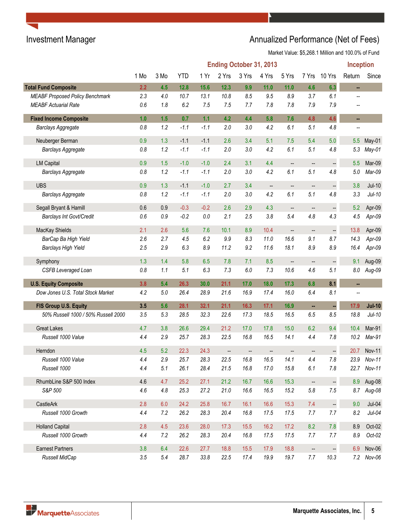# Investment Manager **Annualized Performance (Net of Fees)**

|                                        |      |         |            |           |       |       | <b>Ending October 31, 2013</b> |                          |                          |                          | Inception |               |
|----------------------------------------|------|---------|------------|-----------|-------|-------|--------------------------------|--------------------------|--------------------------|--------------------------|-----------|---------------|
|                                        | 1 Mo | 3 Mo    | <b>YTD</b> | 1 Yr      | 2 Yrs | 3 Yrs | 4 Yrs                          | 5 Yrs                    | 7 Yrs                    | 10 Yrs                   | Return    | Since         |
| <b>Total Fund Composite</b>            | 2.2  | 4.5     | 12.8       | 15.6      | 12.3  | 9.9   | 11.0                           | $11.0$                   | 4.6                      | 6.3                      | ä,        |               |
| <b>MEABF Proposed Policy Benchmark</b> | 2.3  | 4.0     | 10.7       | 13.1      | 10.8  | 8.5   | 9.5                            | 8.9                      | 3.7                      | 6.1                      |           |               |
| <b>MEABF Actuarial Rate</b>            | 0.6  | 1.8     | 6.2        | 7.5       | 7.5   | 7.7   | 7.8                            | 7.8                      | 7.9                      | 7.9                      |           |               |
| <b>Fixed Income Composite</b>          | 1.0  | 1.5     | 0.7        | 1.1       | 4.2   | 4.4   | 5.8                            | 7.6                      | 4.8                      | 4.6                      | н,        |               |
| <b>Barclays Aggregate</b>              | 0.8  | 1.2     | $-1.1$     | $-1.1$    | 2.0   | 3.0   | 4.2                            | 6.1                      | 5.1                      | 4.8                      |           |               |
| Neuberger Berman                       | 0.9  | 1.3     | $-1.1$     | $-1.1$    | 2.6   | 3.4   | 5.1                            | 7.5                      | 5.4                      | 5.0                      | 5.5       | May-01        |
| <b>Barclays Aggregate</b>              | 0.8  | 1.2     | $-1.1$     | $-1.1$    | 2.0   | 3.0   | 4.2                            | 6.1                      | 5.1                      | 4.8                      | 5.3       | May-01        |
| <b>LM Capital</b>                      | 0.9  | 1.5     | $-1.0$     | $-1.0$    | 2.4   | 3.1   | 4.4                            | $\overline{\phantom{a}}$ | $\overline{\phantom{a}}$ | $\overline{\phantom{m}}$ | 5.5       | Mar-09        |
| <b>Barclays Aggregate</b>              | 0.8  | 1.2     | $-1.1$     | $-1.1$    | 2.0   | 3.0   | 4.2                            | 6.1                      | 5.1                      | 4.8                      | 5.0       | Mar-09        |
| <b>UBS</b>                             | 0.9  | 1.3     | $-1.1$     | $-1.0$    | 2.7   | 3.4   | $\overline{\phantom{a}}$       | --                       | $\qquad \qquad -$        |                          | 3.8       | $Jul-10$      |
| <b>Barclays Aggregate</b>              | 0.8  | 1.2     | $-1.1$     | $-1.1$    | 2.0   | 3.0   | 4.2                            | 6.1                      | 5.1                      | 4.8                      | 3.3       | $Jul-10$      |
| Segall Bryant & Hamill                 | 0.6  | 0.9     | $-0.3$     | $-0.2$    | 2.6   | 2.9   | 4.3                            | $\overline{\phantom{a}}$ | --                       | $\frac{1}{2}$            | 5.2       | Apr-09        |
| <b>Barclays Int Govt/Credit</b>        | 0.6  | 0.9     | $-0.2$     | $0.0\,$   | 2.1   | 2.5   | 3.8                            | 5.4                      | 4.8                      | 4.3                      | 4.5       | Apr-09        |
| MacKay Shields                         | 2.1  | 2.6     | 5.6        | 7.6       | 10.1  | 8.9   | 10.4                           | $\overline{\phantom{a}}$ | $\qquad \qquad -$        | $\Box$                   | 13.8      | Apr-09        |
| BarCap Ba High Yield                   | 2.6  | 2.7     | 4.5        | 6.2       | 9.9   | 8.3   | 11.0                           | 16.6                     | 9.1                      | 8.7                      | 14.3      | Apr-09        |
| <b>Barclays High Yield</b>             | 2.5  | 2.9     | 6.3        | $\rm 8.9$ | 11.2  | 9.2   | 11.6                           | 18.1                     | $8.9\,$                  | 8.9                      | 16.4      | Apr-09        |
| Symphony                               | 1.3  | 1.4     | 5.8        | 6.5       | 7.8   | 7.1   | 8.5                            | $\overline{\phantom{a}}$ | $\qquad \qquad -$        | $\Box$                   | 9.1       | Aug-09        |
| <b>CSFB Leveraged Loan</b>             | 0.8  | 1.1     | 5.1        | 6.3       | 7.3   | 6.0   | 7.3                            | 10.6                     | 4.6                      | 5.1                      | $8.0\,$   | Aug-09        |
| <b>U.S. Equity Composite</b>           | 3.8  | 5.4     | 26.3       | 30.0      | 21.1  | 17.0  | 18.0                           | 17.3                     | 6.8                      | 8.1                      | н,        |               |
| Dow Jones U.S. Total Stock Market      | 4.2  | $5.0$   | 26.4       | 28.9      | 21.6  | 16.9  | 17.4                           | 16.0                     | 6.4                      | 8.1                      |           |               |
| FIS Group U.S. Equity                  | 3.5  | 5.6     | 28.1       | 32.1      | 21.1  | 16.3  | 17.1                           | 16.9                     | u,                       | ä,                       | 17.9      | <b>Jul-10</b> |
| 50% Russell 1000 / 50% Russell 2000    | 3.5  | 5.3     | 28.5       | 32.3      | 22.6  | 17.3  | 18.5                           | 16.5                     | 6.5                      | 8.5                      | 18.8      | $Jul-10$      |
| <b>Great Lakes</b>                     | 4.7  | 3.8     | 26.6       | 29.4      | 21.2  | 17.0  | 17.8                           | 15.0                     | 6.2                      | 9.4                      | 10.4      | Mar-91        |
| Russell 1000 Value                     | 4.4  | 2.9     | 25.7       | 28.3      | 22.5  | 16.8  | 16.5                           | 14.1                     | 4.4                      | 7.8                      | 10.2      | Mar-91        |
| Herndon                                | 4.5  | 5.2     | 22.3       | 24.3      |       |       |                                |                          | $\overline{\phantom{a}}$ | $\overline{\phantom{a}}$ | 20.7      | Nov-11        |
| Russell 1000 Value                     | 4.4  | 2.9     | 25.7       | 28.3      | 22.5  | 16.8  | 16.5                           | 14.1                     | 4.4                      | 7.8                      | 23.9      | Nov-11        |
| Russell 1000                           | 4.4  | 5.1     | 26.1       | 28.4      | 21.5  | 16.8  | 17.0                           | 15.8                     | 6.1                      | 7.8                      |           | 22.7 Nov-11   |
| RhumbLine S&P 500 Index                | 4.6  | 4.7     | 25.2       | 27.1      | 21.2  | 16.7  | 16.6                           | 15.3                     | $\overline{a}$           | $\Box$                   |           | 8.9 Aug-08    |
| S&P 500                                | 4.6  | $4.8\,$ | 25.3       | 27.2      | 21.0  | 16.6  | 16.5                           | 15.2                     | $5.8\,$                  | 7.5                      | 8.7       | Aug-08        |
| CastleArk                              | 2.8  | 6.0     | 24.2       | 25.8      | 16.7  | 16.1  | 16.6                           | 15.3                     | $7.4$                    | $\Box$                   | 9.0       | $Jul-04$      |
| Russell 1000 Growth                    | 4.4  | 7.2     | 26.2       | 28.3      | 20.4  | 16.8  | 17.5                           | 17.5                     | 7.7                      | 7.7                      | 8.2       | $Jul-04$      |
| <b>Holland Capital</b>                 | 2.8  | 4.5     | 23.6       | 28.0      | 17.3  | 15.5  | 16.2                           | $17.2$                   | 8.2                      | 7.8                      | 8.9       | Oct-02        |
| Russell 1000 Growth                    | 4.4  | 7.2     | 26.2       | 28.3      | 20.4  | 16.8  | 17.5                           | 17.5                     | 7.7                      | 7.7                      | 8.9       | Oct-02        |
| <b>Earnest Partners</b>                | 3.8  | 6.4     | 22.6       | 27.7      | 18.8  | 15.5  | 17.9                           | 18.8                     | $\frac{1}{2}$            | $\ddot{\phantom{1}}$     | 6.9       | Nov-06        |
| Russell MidCap                         | 3.5  | 5.4     | 28.7       | 33.8      | 22.5  | 17.4  | 19.9                           | 19.7                     | $7.7\,$                  | 10.3                     |           | 7.2 Nov-06    |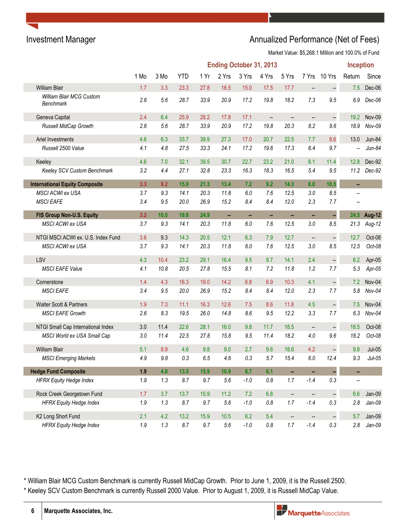## Investment Manager **Annualized Performance (Net of Fees)** Annualized Performance (Net of Fees)

Market Value: \$5,268.1 Million and 100.0% of Fund

|                                              |         |         |            |         |         |         | <b>Ending October 31, 2013</b> |                          |                          |                          | <b>Inception</b>         |               |
|----------------------------------------------|---------|---------|------------|---------|---------|---------|--------------------------------|--------------------------|--------------------------|--------------------------|--------------------------|---------------|
|                                              | 1 Mo    | 3 Mo    | <b>YTD</b> | 1 Yr    | 2 Yrs   | 3 Yrs   | 4 Yrs                          | 5 Yrs                    | 7 Yrs                    | 10 Yrs                   | Return                   | Since         |
| <b>William Blair</b>                         | 1.7     | 3.3     | 23.3       | 27.8    | 16.5    | 15.0    | 17.5                           | 17.7                     | $\qquad \qquad \qquad -$ |                          | 7.5                      | Dec-06        |
| William Blair MCG Custom<br><b>Benchmark</b> | 2.6     | 5.6     | 28.7       | 33.9    | 20.9    | 17.2    | 19.8                           | 18.2                     | 7.3                      | 9.5                      | 6.9                      | $Dec-06$      |
| Geneva Capital                               | 2.4     | 6.4     | 25.9       | 28.2    | 17.8    | 17.1    | --                             | $\overline{\phantom{a}}$ | --                       | $\overline{\phantom{a}}$ | 19.2                     | Nov-09        |
| Russell MidCap Growth                        | 2.6     | 5.6     | 28.7       | 33.9    | 20.9    | 17.2    | 19.8                           | 20.3                     | 8.2                      | 9.6                      | 18.9                     | Nov-09        |
| Ariel Investments                            | 4.6     | 6.3     | 33.7       | 39.9    | 27.3    | 17.0    | 20.7                           | 22.5                     | 7.7                      | 8.6                      | 13.0                     | Jun-84        |
| Russell 2500 Value                           | 4.1     | 4.8     | 27.5       | 33.3    | 24.1    | 17.2    | 19.6                           | 17.3                     | 6.4                      | 9.7                      |                          | Jun-84        |
| Keeley                                       | 4.6     | 7.0     | 32.1       | 39.5    | 30.7    | 22.7    | 23.2                           | 21.0                     | 8.1                      | 11.4                     | 12.8                     | Dec-92        |
| Keeley SCV Custom Benchmark                  | 3.2     | 4.4     | 27.1       | 32.8    | 23.3    | 16.3    | 18.3                           | 16.5                     | 5.4                      | 9.5                      | 11.2                     | Dec-92        |
| <b>International Equity Composite</b>        | 3.3     | 9.2     | 15.9       | 21.3    | 13.4    | 7.2     | 9.2                            | 14.3                     | 6.0                      | 10.5                     | н.                       |               |
| MSCI ACWI ex USA                             | 3.7     | 9.3     | 14.1       | 20.3    | 11.8    | 6.0     | 7.6                            | 12.5                     | 3.0                      | 8.5                      | $\overline{\phantom{a}}$ |               |
| <b>MSCI EAFE</b>                             | 3.4     | 9.5     | 20.0       | 26.9    | 15.2    | 8.4     | 8.4                            | 12.0                     | 2.3                      | 7.7                      | $\overline{\phantom{a}}$ |               |
| FIS Group Non-U.S. Equity                    | 3.2     | 10.0    | 19.8       | 24.9    | н,      | н,      | н,                             |                          |                          |                          | 24.5                     | <b>Aug-12</b> |
| MSCI ACWI ex USA                             | 3.7     | 9.3     | 14.1       | 20.3    | 11.8    | 6.0     | 7.6                            | 12.5                     | 3.0                      | 8.5                      | 21.3                     | Aug-12        |
| NTGI MSCI ACWI ex. U.S. Index Fund           | 3.6     | 9.3     | 14.3       | 20.5    | 12.1    | 6.3     | 7.9                            | 12.7                     | $\qquad \qquad \cdots$   | ÷,                       | 12.7                     | Oct-08        |
| MSCI ACWI ex USA                             | 3.7     | 9.3     | 14.1       | 20.3    | 11.8    | 6.0     | 7.6                            | 12.5                     | 3.0                      | 8.5                      | 12.5                     | Oct-08        |
| LSV                                          | 4.3     | 10.4    | 23.2       | 29.1    | 16.4    | 9.5     | 9.7                            | 14.1                     | 2.4                      | $\frac{1}{2}$            | 6.2                      | Apr-05        |
| <b>MSCI EAFE Value</b>                       | 4.1     | 10.8    | 20.5       | 27.8    | 15.5    | 8.1     | 7.2                            | 11.8                     | 1.2                      | 7.7                      | 5.3                      | Apr-05        |
| Cornerstone                                  | 1.4     | 4.3     | 16.3       | 19.0    | 14.2    | 6.8     | 6.9                            | 10.3                     | 4.1                      | $\overline{\phantom{m}}$ | 7.2                      | Nov-04        |
| <b>MSCI EAFE</b>                             | 3.4     | 9.5     | 20.0       | 26.9    | 15.2    | 8.4     | 8.4                            | 12.0                     | 2.3                      | 7.7                      | 5.8                      | $Nov-04$      |
| <b>Walter Scott &amp; Partners</b>           | 1.9     | 7.3     | 11.1       | 16.3    | 12.6    | 7.5     | 8.6                            | 11.8                     | 4.5                      | $\ddot{\phantom{1}}$     | 7.5                      | Nov-04        |
| <b>MSCI EAFE Growth</b>                      | 2.6     | 8.3     | 19.5       | 26.0    | 14.8    | 8.6     | 9.5                            | 12.2                     | 3.3                      | 7.7                      | 6.3                      | Nov-04        |
| NTGI Small Cap International Index           | 3.0     | 11.4    | 22.6       | 28.1    | 16.0    | 9.8     | 11.7                           | 18.5                     | $\qquad \qquad \cdots$   | $\overline{\phantom{a}}$ | 18.5                     | Oct-08        |
| MSCI World ex USA Small Cap                  | 3.0     | 11.4    | 22.5       | 27.8    | 15.8    | 9.5     | 11.4                           | 18.2                     | 4.0                      | 9.6                      | 18.2                     | Oct-08        |
| <b>William Blair</b>                         | 5.1     | 8.9     | 4.6        | 9.8     | 9.0     | 2.7     | 9.6                            | 18.6                     | 4.2                      | $\qquad \qquad \qquad -$ | 9.8                      | $Jul-05$      |
| <b>MSCI Emerging Markets</b>                 | 4.9     | $9.8\,$ | 0.3        | 6.5     | 4.6     | $0.3\,$ | 5.7                            | 15.4                     | $6.0\,$                  | 12.4                     | $9.3\,$                  | $Jul-05$      |
| <b>Hedge Fund Composite</b>                  | 1.9     | 4.0     | 13.5       | 15.9    | 10.9    | 6.7     | 6.1                            | ш,                       | ш,                       |                          | ÷.                       |               |
| <b>HFRX Equity Hedge Index</b>               | 1.9     | 1.3     | 8.7        | 9.7     | 5.6     | $-1.0$  | $0.8\,$                        | 1.7                      | $-1.4$                   | 0.3                      | --                       |               |
| Rock Creek Georgetown Fund                   | 1.7     | 3.7     | $13.7$     | 15.9    | $11.2$  | 7.2     | 6.8                            | $\overline{\phantom{a}}$ | $\overline{\phantom{a}}$ | $\frac{1}{2}$            | 6.6                      | $Jan-09$      |
| <b>HFRX Equity Hedge Index</b>               | $1.9\,$ | 1.3     | 8.7        | $9.7\,$ | 5.6     | $-1.0$  | $0.8\,$                        | 1.7                      | $-1.4$                   | 0.3                      | 2.8                      | $Jan-09$      |
| K2 Long Short Fund                           | 2.1     | 4.2     | 13.2       | 15.9    | 10.5    | 6.2     | 5.4                            | $\overline{\phantom{a}}$ | $\qquad \qquad -$        | $\mathbb{H}$             | 5.7                      | $Jan-09$      |
| <b>HFRX Equity Hedge Index</b>               | $1.9\,$ | 1.3     | $8.7\,$    | $9.7\,$ | $5.6\,$ | $-1.0$  | $0.8\,$                        | $1.7\,$                  | $-1.4$                   | $0.3\,$                  | 2.8                      | Jan-09        |

\* William Blair MCG Custom Benchmark is currently Russell MidCap Growth. Prior to June 1, 2009, it is the Russell 2500. \* Keeley SCV Custom Benchmark is currently Russell 2000 Value. Prior to August 1, 2009, it is Russell MidCap Value.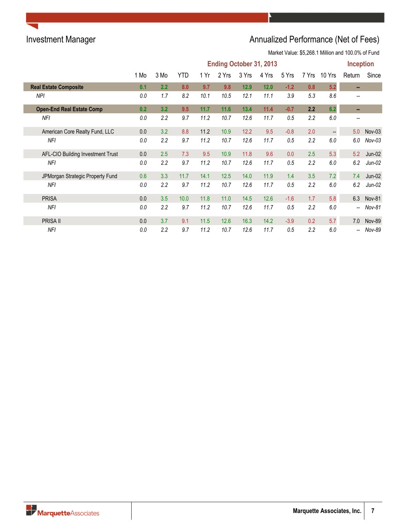# Investment Manager **Annualized Performance (Net of Fees)**

|                                   |      |               |      |      |       |       | <b>Ending October 31, 2013</b> |        |       |                          | <b>Inception</b>         |               |
|-----------------------------------|------|---------------|------|------|-------|-------|--------------------------------|--------|-------|--------------------------|--------------------------|---------------|
|                                   | 1 Mo | 3 Mo          | YTD  | 1 Yr | 2 Yrs | 3 Yrs | 4 Yrs                          | 5 Yrs  | 7 Yrs | 10 Yrs                   | Return                   | Since         |
| <b>Real Estate Composite</b>      | 0.1  | $2.2^{\circ}$ | 8.0  | 9.7  | 9.8   | 12.9  | 12.0                           | $-1.2$ | 0.8   | 5.2                      | $\sim$                   |               |
| <b>NPI</b>                        | 0.0  | 1.7           | 8.2  | 10.1 | 10.5  | 12.1  | 11.1                           | 3.9    | 5.3   | 8.6                      |                          |               |
| <b>Open-End Real Estate Comp</b>  | 0.2  | 3.2           | 9.5  | 11.7 | 11.6  | 13.4  | 11.4                           | $-0.7$ | 2.2   | 6.2                      | $\sim$                   |               |
| NFI                               | 0.0  | 2.2           | 9.7  | 11.2 | 10.7  | 12.6  | 11.7                           | 0.5    | 2.2   | 6.0                      | $\overline{\phantom{a}}$ |               |
| American Core Realty Fund, LLC    | 0.0  | 3.2           | 8.8  | 11.2 | 10.9  | 12.2  | 9.5                            | $-0.8$ | 2.0   | $\overline{\phantom{a}}$ | 5.0                      | $Nov-03$      |
| NFI                               | 0.0  | 2.2           | 9.7  | 11.2 | 10.7  | 12.6  | 11.7                           | 0.5    | 2.2   | 6.0                      | 6.0                      | $Nov-03$      |
| AFL-CIO Building Investment Trust | 0.0  | 2.5           | 7.3  | 9.5  | 10.9  | 11.8  | 9.6                            | 0.0    | 2.5   | 5.3                      | 5.2                      | Jun-02        |
| <b>NFI</b>                        | 0.0  | 2.2           | 9.7  | 11.2 | 10.7  | 12.6  | 11.7                           | 0.5    | 2.2   | 6.0                      | 6.2                      | $Jun-02$      |
| JPMorgan Strategic Property Fund  | 0.6  | 3.3           | 11.7 | 14.1 | 12.5  | 14.0  | 11.9                           | 1.4    | 3.5   | 7.2                      | 7.4                      | $Jun-02$      |
| NFI                               | 0.0  | 2.2           | 9.7  | 11.2 | 10.7  | 12.6  | 11.7                           | 0.5    | 2.2   | 6.0                      | 6.2                      | $Jun-02$      |
| <b>PRISA</b>                      | 0.0  | 3.5           | 10.0 | 11.8 | 11.0  | 14.5  | 12.6                           | $-1.6$ | 1.7   | 5.8                      | 6.3                      | <b>Nov-81</b> |
| NFI                               | 0.0  | 2.2           | 9.7  | 11.2 | 10.7  | 12.6  | 11.7                           | 0.5    | 2.2   | 6.0                      | $\overline{\phantom{a}}$ | Nov-81        |
| <b>PRISA II</b>                   | 0.0  | 3.7           | 9.1  | 11.5 | 12.6  | 16.3  | 14.2                           | $-3.9$ | 0.2   | 5.7                      | 7.0                      | <b>Nov-89</b> |
| NFI                               | 0.0  | 2.2           | 9.7  | 11.2 | 10.7  | 12.6  | 11.7                           | 0.5    | 2.2   | 6.0                      | $\overline{\phantom{a}}$ | Nov-89        |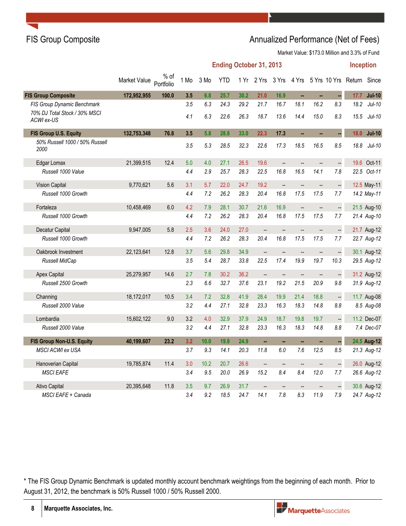## FIS Group Composite **Annualized Performance (Net of Fees)** Annualized Performance (Net of Fees)

Market Value: \$173.0 Million and 3.3% of Fund

|                                             |              |                     |      |         | <b>Ending October 31, 2013</b> |      |                          |                          |                          |                          |                      | <b>Inception</b>                            |               |
|---------------------------------------------|--------------|---------------------|------|---------|--------------------------------|------|--------------------------|--------------------------|--------------------------|--------------------------|----------------------|---------------------------------------------|---------------|
|                                             | Market Value | $%$ of<br>Portfolio | 1 Mo | 3 Mo    | <b>YTD</b>                     | 1 Yr |                          |                          |                          |                          |                      | 2 Yrs 3 Yrs 4 Yrs 5 Yrs 10 Yrs Return Since |               |
| <b>FIS Group Composite</b>                  | 172,952,955  | 100.0               | 3.5  | 6.8     | 25.7                           | 30.2 | 21.0                     | 16.9                     | ä,                       | ä.                       | ÷,                   | 17.7                                        | <b>Jul-10</b> |
| FIS Group Dynamic Benchmark                 |              |                     | 3.5  | 6.3     | 24.3                           | 29.2 | 21.7                     | 16.7                     | 18.1                     | 16.2                     | 8.3                  | 18.2                                        | $Jul-10$      |
| 70% DJ Total Stock / 30% MSCI<br>ACWI ex-US |              |                     | 4.1  | 6.3     | 22.6                           | 26.3 | 18.7                     | 13.6                     | 14.4                     | 15.0                     | 8.3                  | 15.5                                        | $Jul-10$      |
| FIS Group U.S. Equity                       | 132,753,348  | 76.8                | 3.5  | 5.8     | 28.8                           | 33.0 | 22.3                     | 17.3                     | н.                       | ä.                       | u,                   | 18.0                                        | <b>Jul-10</b> |
| 50% Russell 1000 / 50% Russell<br>2000      |              |                     | 3.5  | 5.3     | 28.5                           | 32.3 | 22.6                     | 17.3                     | 18.5                     | 16.5                     | 8.5                  | 18.8                                        | $Jul-10$      |
| Edgar Lomax                                 | 21,399,515   | 12.4                | 5.0  | 4.0     | 27.1                           | 26.5 | 19.6                     | $\overline{\phantom{a}}$ |                          | $\overline{\phantom{a}}$ |                      | 19.6                                        | $Oct-11$      |
| Russell 1000 Value                          |              |                     | 4.4  | 2.9     | 25.7                           | 28.3 | 22.5                     | 16.8                     | 16.5                     | 14.1                     | 7.8                  |                                             | 22.5 Oct-11   |
| <b>Vision Capital</b>                       | 9,770,621    | 5.6                 | 3.1  | 5.7     | 22.0                           | 24.7 | 19.2                     | $\overline{\phantom{a}}$ |                          | --                       | $\mathbb{L}$         |                                             | 12.5 May-11   |
| Russell 1000 Growth                         |              |                     | 4.4  | 7.2     | 26.2                           | 28.3 | 20.4                     | 16.8                     | 17.5                     | 17.5                     | 7.7                  |                                             | 14.2 May-11   |
| Fortaleza                                   | 10,458,469   | 6.0                 | 4.2  | 7.9     | 28.1                           | 30.7 | 21.6                     | 16.9                     | --                       | --                       | $\ddot{\phantom{0}}$ |                                             | 21.5 Aug-10   |
| Russell 1000 Growth                         |              |                     | 4.4  | 7.2     | 26.2                           | 28.3 | 20.4                     | 16.8                     | 17.5                     | 17.5                     | 7.7                  |                                             | 21.4 Aug-10   |
| Decatur Capital                             | 9,947,005    | 5.8                 | 2.5  | 3.6     | 24.0                           | 27.0 | $\overline{\phantom{a}}$ | $\overline{\phantom{a}}$ | $\overline{\phantom{a}}$ | --                       | $\ddot{\phantom{0}}$ |                                             | 21.7 Aug-12   |
| Russell 1000 Growth                         |              |                     | 4.4  | 7.2     | 26.2                           | 28.3 | 20.4                     | 16.8                     | 17.5                     | 17.5                     | 7.7                  |                                             | 22.7 Aug-12   |
| Oakbrook Investment                         | 22,123,641   | 12.8                | 3.7  | 5.6     | 29.8                           | 34.9 | $\overline{\phantom{a}}$ | $\overline{\phantom{a}}$ | --                       | $\overline{\phantom{a}}$ | $\frac{1}{2}$        |                                             | 30.1 Aug-12   |
| <b>Russell MidCap</b>                       |              |                     | 3.5  | 5.4     | 28.7                           | 33.8 | 22.5                     | 17.4                     | 19.9                     | 19.7                     | 10.3                 |                                             | 29.5 Aug-12   |
| <b>Apex Capital</b>                         | 25,279,957   | 14.6                | 2.7  | 7.8     | 30.2                           | 36.2 | $\overline{\phantom{a}}$ | $\overline{\phantom{a}}$ | $\overline{\phantom{a}}$ | --                       | $\ddot{\phantom{0}}$ |                                             | 31.2 Aug-12   |
| Russell 2500 Growth                         |              |                     | 2.3  | $6.6\,$ | 32.7                           | 37.6 | 23.1                     | 19.2                     | 21.5                     | 20.9                     | 9.8                  |                                             | 31.9 Aug-12   |
| Channing                                    | 18,172,017   | 10.5                | 3.4  | 7.2     | 32.8                           | 41.9 | 28.4                     | 19.9                     | 21.4                     | 18.8                     |                      |                                             | 11.7 Aug-08   |
| Russell 2000 Value                          |              |                     | 3.2  | 4.4     | 27.1                           | 32.8 | 23.3                     | 16.3                     | 18.3                     | 14.8                     | 8.8                  |                                             | 8.5 Aug-08    |
| Lombardia                                   | 15,602,122   | 9.0                 | 3.2  | 4.0     | 32.9                           | 37.9 | 24.9                     | 18.7                     | 19.8                     | 19.7                     | $\frac{1}{2}$        |                                             | 11.2 Dec-07   |
| Russell 2000 Value                          |              |                     | 3.2  | 4.4     | 27.1                           | 32.8 | 23.3                     | 16.3                     | 18.3                     | 14.8                     | 8.8                  |                                             | 7.4 Dec-07    |
| FIS Group Non-U.S. Equity                   | 40,199,607   | 23.2                | 3.2  | 10.0    | 19.8                           | 24.9 | ä.                       | н.                       | ä,                       | н,                       |                      |                                             | 24.5 Aug-12   |
| <b>MSCI ACWI ex USA</b>                     |              |                     | 3.7  | 9.3     | 14.1                           | 20.3 | 11.8                     | $6.0\,$                  | 7.6                      | 12.5                     | 8.5                  |                                             | 21.3 Aug-12   |
| Hanoverian Capital                          | 19,785,874   | 11.4                | 3.0  | 10.2    | 20.7                           | 26.6 | $\overline{\phantom{a}}$ | $\overline{\phantom{a}}$ | $\overline{\phantom{a}}$ | --                       | $\ddot{\phantom{0}}$ |                                             | 26.0 Aug-12   |
| <b>MSCI EAFE</b>                            |              |                     | 3.4  | 9.5     | 20.0                           | 26.9 | 15.2                     | 8.4                      | 8.4                      | 12.0                     | 7.7                  |                                             | 26.6 Aug-12   |
| Ativo Capital                               | 20,395,648   | 11.8                | 3.5  | 9.7     | 26.9                           | 31.7 | $\overline{a}$           | $\overline{a}$           | $\overline{\phantom{a}}$ |                          |                      |                                             | 30.6 Aug-12   |
| MSCI EAFE + Canada                          |              |                     | 3.4  | 9.2     | 18.5                           | 24.7 | 14.1                     | 7.8                      | 8.3                      | 11.9                     | 7.9                  |                                             | 24.7 Aug-12   |

\* The FIS Group Dynamic Benchmark is updated monthly account benchmark weightings from the beginning of each month. Prior to August 31, 2012, the benchmark is 50% Russell 1000 / 50% Russell 2000.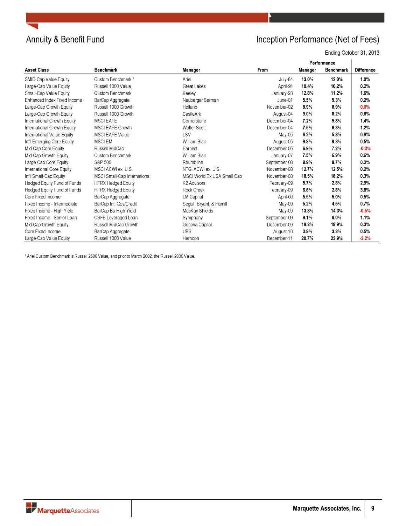

# Annuity & Benefit Fund **Inception Performance (Net of Fees)**

Ending October 31, 2013

|                                    |                               |                             |              |         | Performance |                   |
|------------------------------------|-------------------------------|-----------------------------|--------------|---------|-------------|-------------------|
| <b>Asset Class</b>                 | <b>Benchmark</b>              | Manager                     | From         | Manager | Benchmark   | <b>Difference</b> |
| SMID-Cap Value Equity              | Custom Benchmark <sup>1</sup> | Ariel                       | July-84      | 13.0%   | 12.0%       | 1.0%              |
| Large-Cap Value Equity             | Russell 1000 Value            | <b>Great Lakes</b>          | April-91     | 10.4%   | 10.2%       | 0.2%              |
| Small-Cap Value Equity             | Custom Benchmark              | Keeley                      | January-93   | 12.8%   | 11.2%       | 1.6%              |
| Enhanced Index Fixed Income        | BarCap Aggregate              | Neuberger Berman            | June-01      | 5.5%    | 5.3%        | 0.2%              |
| Large-Cap Growth Equity            | Russell 1000 Growth           | Holland                     | November-02  | 8.9%    | 8.9%        | 0.0%              |
| Large-Cap Growth Equity            | Russell 1000 Growth           | CastleArk                   | August-04    | 9.0%    | 8.2%        | 0.8%              |
| International Growth Equity        | <b>MSCI EAFE</b>              | Cornerstone                 | December-04  | 7.2%    | 5.8%        | 1.4%              |
| International Growth Equity        | <b>MSCI EAFE Growth</b>       | <b>Walter Scott</b>         | December-04  | 7.5%    | 6.3%        | 1.2%              |
| International Value Equity         | <b>MSCI EAFE Value</b>        | LSV                         | May-05       | 6.2%    | 5.3%        | 0.9%              |
| Int'l Emerging Core Equity         | <b>MSCIEM</b>                 | William Blair               | August-05    | 9.8%    | 9.3%        | 0.5%              |
| Mid-Cap Core Equity                | Russell MidCap                | Earnest                     | December-06  | 6.9%    | 7.2%        | $-0.3%$           |
| Mid-Cap Growth Equity              | Custom Benchmark              | William Blair               | January-07   | 7.5%    | 6.9%        | 0.6%              |
| Large-Cap Core Equity              | S&P 500                       | Rhumbline                   | September-08 | 8.9%    | 8.7%        | 0.2%              |
| International Core Equity          | MSCI ACWI ex. U.S.            | NTGI ACWI ex. U.S.          | November-08  | 12.7%   | 12.5%       | 0.2%              |
| Int'l Small-Cap Equity             | MSCI Small-Cap International  | MSCI World Ex USA Small Cap | November-08  | 18.5%   | 18.2%       | 0.3%              |
| <b>Hedged Equity Fund of Funds</b> | <b>HFRX Hedged Equity</b>     | K <sub>2</sub> Advisors     | February-09  | 5.7%    | 2.8%        | 2.9%              |
| <b>Hedged Equity Fund of Funds</b> | <b>HFRX Hedged Equity</b>     | Rock Creek                  | February-09  | 6.6%    | 2.8%        | 3.8%              |
| Core Fixed Income                  | BarCap Aggregate              | LM Capital                  | April-09     | 5.5%    | 5.0%        | 0.5%              |
| Fixed Income - Intermediate        | BarCap Int. Gov/Credit        | Segall, Bryant, & Hamill    | May-09       | 5.2%    | 4.5%        | 0.7%              |
| Fixed Income - High Yield          | BarCap Ba High Yield          | MacKay Shields              | May-09       | 13.8%   | 14.3%       | $-0.5%$           |
| Fixed Income - Senior Loan         | CSFB Leveraged Loan           | Symphony                    | September-09 | 9.1%    | 8.0%        | 1.1%              |
| Mid-Cap Growth Equity              | Russell MidCap Growth         | Geneva Capital              | December-09  | 19.2%   | 18.9%       | 0.3%              |
| Core Fixed Income                  | BarCap Aggregate              | <b>UBS</b>                  | August-10    | 3.8%    | 3.3%        | 0.5%              |
| Large-Cap Value Equity             | Russell 1000 Value            | Herndon                     | December-11  | 20.7%   | 23.9%       | $-3.2%$           |

<sup>1</sup> Ariel Custom Benchmark is Russell 2500 Value, and prior to March 2002, the Russell 2000 Value.